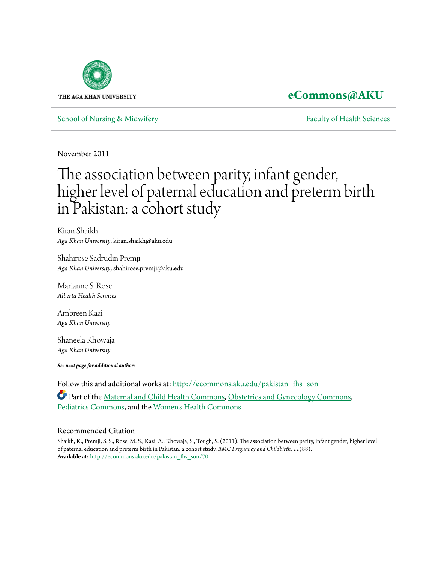

### **[eCommons@AKU](http://ecommons.aku.edu?utm_source=ecommons.aku.edu%2Fpakistan_fhs_son%2F70&utm_medium=PDF&utm_campaign=PDFCoverPages)**

[School of Nursing & Midwifery](http://ecommons.aku.edu/pakistan_fhs_son?utm_source=ecommons.aku.edu%2Fpakistan_fhs_son%2F70&utm_medium=PDF&utm_campaign=PDFCoverPages) **[Faculty of Health Sciences](http://ecommons.aku.edu/pakistan_fhs?utm_source=ecommons.aku.edu%2Fpakistan_fhs_son%2F70&utm_medium=PDF&utm_campaign=PDFCoverPages)** Faculty of Health Sciences

November 2011

## The association between parity, infant gender, higher level of paternal education and preterm birth in Pakistan: a cohort study

Kiran Shaikh *Aga Khan University*, kiran.shaikh@aku.edu

Shahirose Sadrudin Premji *Aga Khan University*, shahirose.premji@aku.edu

Marianne S. Rose *Alberta Health Services*

Ambreen Kazi *Aga Khan University*

Shaneela Khowaja *Aga Khan University*

*See next page for additional authors*

Follow this and additional works at: [http://ecommons.aku.edu/pakistan\\_fhs\\_son](http://ecommons.aku.edu/pakistan_fhs_son?utm_source=ecommons.aku.edu%2Fpakistan_fhs_son%2F70&utm_medium=PDF&utm_campaign=PDFCoverPages) Part of the [Maternal and Child Health Commons](http://network.bepress.com/hgg/discipline/745?utm_source=ecommons.aku.edu%2Fpakistan_fhs_son%2F70&utm_medium=PDF&utm_campaign=PDFCoverPages), [Obstetrics and Gynecology Commons](http://network.bepress.com/hgg/discipline/693?utm_source=ecommons.aku.edu%2Fpakistan_fhs_son%2F70&utm_medium=PDF&utm_campaign=PDFCoverPages), [Pediatrics Commons](http://network.bepress.com/hgg/discipline/700?utm_source=ecommons.aku.edu%2Fpakistan_fhs_son%2F70&utm_medium=PDF&utm_campaign=PDFCoverPages), and the [Women's Health Commons](http://network.bepress.com/hgg/discipline/1241?utm_source=ecommons.aku.edu%2Fpakistan_fhs_son%2F70&utm_medium=PDF&utm_campaign=PDFCoverPages)

#### Recommended Citation

Shaikh, K., Premji, S. S., Rose, M. S., Kazi, A., Khowaja, S., Tough, S. (2011). The association between parity, infant gender, higher level of paternal education and preterm birth in Pakistan: a cohort study. *BMC Pregnancy and Childbirth, 11*(88). **Available at:** [http://ecommons.aku.edu/pakistan\\_fhs\\_son/70](http://ecommons.aku.edu/pakistan_fhs_son/70)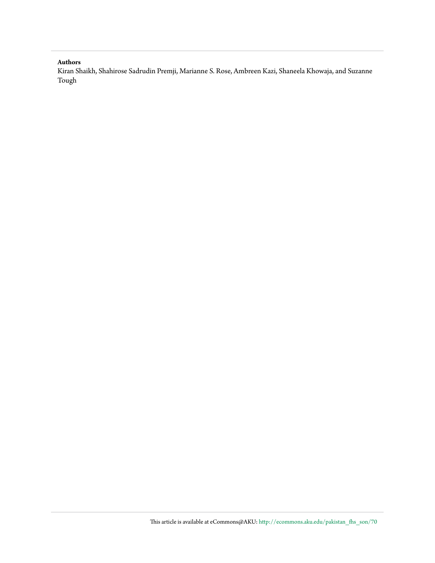#### **Authors**

Kiran Shaikh, Shahirose Sadrudin Premji, Marianne S. Rose, Ambreen Kazi, Shaneela Khowaja, and Suzanne Tough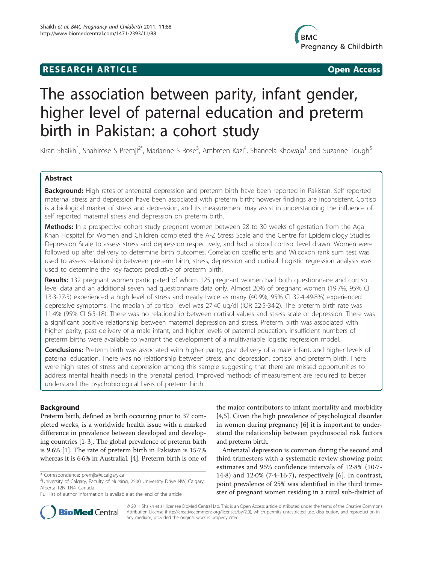### **RESEARCH ARTICLE Example 2018 12:00 Open Access**



# The association between parity, infant gender, higher level of paternal education and preterm birth in Pakistan: a cohort study

Kiran Shaikh<sup>1</sup>, Shahirose S Premji<sup>2\*</sup>, Marianne S Rose<sup>3</sup>, Ambreen Kazi<sup>4</sup>, Shaneela Khowaja<sup>1</sup> and Suzanne Tough<sup>5</sup>

#### Abstract

Background: High rates of antenatal depression and preterm birth have been reported in Pakistan. Self reported maternal stress and depression have been associated with preterm birth; however findings are inconsistent. Cortisol is a biological marker of stress and depression, and its measurement may assist in understanding the influence of self reported maternal stress and depression on preterm birth.

Methods: In a prospective cohort study pregnant women between 28 to 30 weeks of gestation from the Aga Khan Hospital for Women and Children completed the A-Z Stress Scale and the Centre for Epidemiology Studies Depression Scale to assess stress and depression respectively, and had a blood cortisol level drawn. Women were followed up after delivery to determine birth outcomes. Correlation coefficients and Wilcoxon rank sum test was used to assess relationship between preterm birth, stress, depression and cortisol. Logistic regression analysis was used to determine the key factors predictive of preterm birth.

Results: 132 pregnant women participated of whom 125 pregnant women had both questionnaire and cortisol level data and an additional seven had questionnaire data only. Almost 20% of pregnant women (19·7%, 95% CI 13·3-27·5) experienced a high level of stress and nearly twice as many (40·9%, 95% CI 32·4-49·8%) experienced depressive symptoms. The median of cortisol level was 27·40 ug/dl (IQR 22·5-34·2). The preterm birth rate was 11·4% (95% CI 6·5-18). There was no relationship between cortisol values and stress scale or depression. There was a significant positive relationship between maternal depression and stress. Preterm birth was associated with higher parity, past delivery of a male infant, and higher levels of paternal education. Insufficient numbers of preterm births were available to warrant the development of a multivariable logistic regression model.

Conclusions: Preterm birth was associated with higher parity, past delivery of a male infant, and higher levels of paternal education. There was no relationship between stress, and depression, cortisol and preterm birth. There were high rates of stress and depression among this sample suggesting that there are missed opportunities to address mental health needs in the prenatal period. Improved methods of measurement are required to better understand the psychobiological basis of preterm birth.

#### Background

Preterm birth, defined as birth occurring prior to 37 completed weeks, is a worldwide health issue with a marked difference in prevalence between developed and developing countries [[1](#page-10-0)-[3\]](#page-10-0). The global prevalence of preterm birth is 9.6% [[1\]](#page-10-0). The rate of preterm birth in Pakistan is 15·7% whereas it is 6·6% in Australia1 [[4\]](#page-10-0). Preterm birth is one of the major contributors to infant mortality and morbidity [[4,5\]](#page-10-0). Given the high prevalence of psychological disorder in women during pregnancy [[6\]](#page-10-0) it is important to understand the relationship between psychosocial risk factors and preterm birth.

Antenatal depression is common during the second and third trimesters with a systematic review showing point estimates and 95% confidence intervals of 12·8% (10·7- 14·8) and 12·0% (7·4-16·7), respectively [[6](#page-10-0)]. In contrast, point prevalence of 25% was identified in the third trimester of pregnant women residing in a rural sub-district of



© 2011 Shaikh et al; licensee BioMed Central Ltd. This is an Open Access article distributed under the terms of the Creative Commons Attribution License [\(http://creativecommons.org/licenses/by/2.0](http://creativecommons.org/licenses/by/2.0)), which permits unrestricted use, distribution, and reproduction in any medium, provided the original work is properly cited.

<sup>\*</sup> Correspondence: [premjis@ucalgary.ca](mailto:premjis@ucalgary.ca)

<sup>&</sup>lt;sup>2</sup>University of Calgary, Faculty of Nursing, 2500 University Drive NW, Calgary, Alberta T2N 1N4, Canada

Full list of author information is available at the end of the article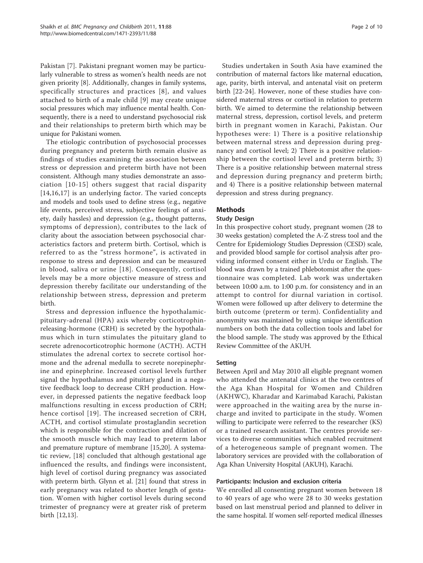Pakistan [[7\]](#page-10-0). Pakistani pregnant women may be particularly vulnerable to stress as women's health needs are not given priority [[8\]](#page-10-0). Additionally, changes in family systems, specifically structures and practices [[8](#page-10-0)], and values attached to birth of a male child [[9\]](#page-10-0) may create unique social pressures which may influence mental health. Consequently, there is a need to understand psychosocial risk and their relationships to preterm birth which may be unique for Pakistani women.

The etiologic contribution of psychosocial processes during pregnancy and preterm birth remain elusive as findings of studies examining the association between stress or depression and preterm birth have not been consistent. Although many studies demonstrate an association [[10-](#page-10-0)[15](#page-11-0)] others suggest that racial disparity [[14,16,17\]](#page-11-0) is an underlying factor. The varied concepts and models and tools used to define stress (e.g., negative life events, perceived stress, subjective feelings of anxiety, daily hassles) and depression (e.g., thought patterns, symptoms of depression), contributes to the lack of clarity about the association between psychosocial characteristics factors and preterm birth. Cortisol, which is referred to as the "stress hormone", is activated in response to stress and depression and can be measured in blood, saliva or urine [\[18\]](#page-11-0). Consequently, cortisol levels may be a more objective measure of stress and depression thereby facilitate our understanding of the relationship between stress, depression and preterm birth.

Stress and depression influence the hypothalamicpituitary-adrenal (HPA) axis whereby corticotrophinreleasing-hormone (CRH) is secreted by the hypothalamus which in turn stimulates the pituitary gland to secrete adrenocorticotrophic hormone (ACTH). ACTH stimulates the adrenal cortex to secrete cortisol hormone and the adrenal medulla to secrete norepinephrine and epinephrine. Increased cortisol levels further signal the hypothalamus and pituitary gland in a negative feedback loop to decrease CRH production. However, in depressed patients the negative feedback loop malfunctions resulting in excess production of CRH; hence cortisol [[19](#page-11-0)]. The increased secretion of CRH, ACTH, and cortisol stimulate prostaglandin secretion which is responsible for the contraction and dilation of the smooth muscle which may lead to preterm labor and premature rupture of membrane [[15,20\]](#page-11-0). A systematic review, [\[18](#page-11-0)] concluded that although gestational age influenced the results, and findings were inconsistent, high level of cortisol during pregnancy was associated with preterm birth. Glynn et al. [[21\]](#page-11-0) found that stress in early pregnancy was related to shorter length of gestation. Women with higher cortisol levels during second trimester of pregnancy were at greater risk of preterm birth [[12,](#page-10-0)[13](#page-11-0)].

Studies undertaken in South Asia have examined the contribution of maternal factors like maternal education, age, parity, birth interval, and antenatal visit on preterm birth [\[22](#page-11-0)-[24\]](#page-11-0). However, none of these studies have considered maternal stress or cortisol in relation to preterm birth. We aimed to determine the relationship between maternal stress, depression, cortisol levels, and preterm birth in pregnant women in Karachi, Pakistan. Our hypotheses were: 1) There is a positive relationship between maternal stress and depression during pregnancy and cortisol level; 2) There is a positive relationship between the cortisol level and preterm birth; 3) There is a positive relationship between maternal stress and depression during pregnancy and preterm birth; and 4) There is a positive relationship between maternal depression and stress during pregnancy.

#### Methods

#### Study Design

In this prospective cohort study, pregnant women (28 to 30 weeks gestation) completed the A-Z stress tool and the Centre for Epidemiology Studies Depression (CESD) scale, and provided blood sample for cortisol analysis after providing informed consent either in Urdu or English. The blood was drawn by a trained phlebotomist after the questionnaire was completed. Lab work was undertaken between 10:00 a.m. to 1:00 p.m. for consistency and in an attempt to control for diurnal variation in cortisol. Women were followed up after delivery to determine the birth outcome (preterm or term). Confidentiality and anonymity was maintained by using unique identification numbers on both the data collection tools and label for the blood sample. The study was approved by the Ethical Review Committee of the AKUH.

#### Setting

Between April and May 2010 all eligible pregnant women who attended the antenatal clinics at the two centres of the Aga Khan Hospital for Women and Children (AKHWC), Kharadar and Karimabad Karachi, Pakistan were approached in the waiting area by the nurse incharge and invited to participate in the study. Women willing to participate were referred to the researcher (KS) or a trained research assistant. The centres provide services to diverse communities which enabled recruitment of a heterogeneous sample of pregnant women. The laboratory services are provided with the collaboration of Aga Khan University Hospital (AKUH), Karachi.

#### Participants: Inclusion and exclusion criteria

We enrolled all consenting pregnant women between 18 to 40 years of age who were 28 to 30 weeks gestation based on last menstrual period and planned to deliver in the same hospital. If women self-reported medical illnesses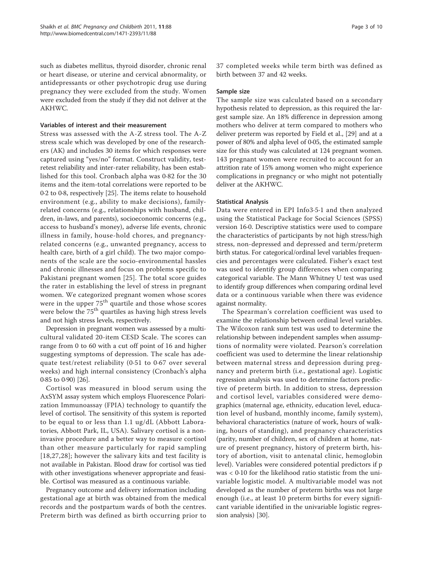such as diabetes mellitus, thyroid disorder, chronic renal or heart disease, or uterine and cervical abnormality, or antidepressants or other psychotropic drug use during pregnancy they were excluded from the study. Women were excluded from the study if they did not deliver at the AKHWC.

#### Variables of interest and their measurement

Stress was assessed with the A-Z stress tool. The A-Z stress scale which was developed by one of the researchers (AK) and includes 30 items for which responses were captured using "yes/no" format. Construct validity, testretest reliability and inter-rater reliability, has been established for this tool. Cronbach alpha was 0·82 for the 30 items and the item-total correlations were reported to be 0·2 to 0·8, respectively [[25](#page-11-0)]. The items relate to household environment (e.g., ability to make decisions), familyrelated concerns (e.g., relationships with husband, children, in-laws, and parents), socioeconomic concerns (e.g., access to husband's money), adverse life events, chronic illness in family, house-hold chores, and pregnancyrelated concerns (e.g., unwanted pregnancy, access to health care, birth of a girl child). The two major components of the scale are the socio-environmental hassles and chronic illnesses and focus on problems specific to Pakistani pregnant women [[25\]](#page-11-0). The total score guides the rater in establishing the level of stress in pregnant women. We categorized pregnant women whose scores were in the upper  $75<sup>th</sup>$  quartile and those whose scores were below the 75<sup>th</sup> quartiles as having high stress levels and not high stress levels, respectively.

Depression in pregnant women was assessed by a multicultural validated 20-item CESD Scale. The scores can range from 0 to 60 with a cut off point of 16 and higher suggesting symptoms of depression. The scale has adequate test/retest reliability (0·51 to 0·67 over several weeks) and high internal consistency (Cronbach's alpha 0·85 to 0·90) [[26](#page-11-0)].

Cortisol was measured in blood serum using the AxSYM assay system which employs Fluorescence Polarization Immunoassay (FPIA) technology to quantify the level of cortisol. The sensitivity of this system is reported to be equal to or less than 1.1 ug/dL (Abbott Laboratories, Abbott Park, IL, USA). Salivary cortisol is a noninvasive procedure and a better way to measure cortisol than other measure particularly for rapid sampling [[18](#page-11-0),[27](#page-11-0),[28\]](#page-11-0); however the salivary kits and test facility is not available in Pakistan. Blood draw for cortisol was tied with other investigations whenever appropriate and feasible. Cortisol was measured as a continuous variable.

Pregnancy outcome and delivery information including gestational age at birth was obtained from the medical records and the postpartum wards of both the centres. Preterm birth was defined as birth occurring prior to 37 completed weeks while term birth was defined as birth between 37 and 42 weeks.

#### Sample size

The sample size was calculated based on a secondary hypothesis related to depression, as this required the largest sample size. An 18% difference in depression among mothers who deliver at term compared to mothers who deliver preterm was reported by Field et al., [[29\]](#page-11-0) and at a power of 80% and alpha level of 0·05, the estimated sample size for this study was calculated at 124 pregnant women. 143 pregnant women were recruited to account for an attrition rate of 15% among women who might experience complications in pregnancy or who might not potentially deliver at the AKHWC.

#### Statistical Analysis

Data were entered in EPI Info3·5·1 and then analyzed using the Statistical Package for Social Sciences (SPSS) version 16·0. Descriptive statistics were used to compare the characteristics of participants by not high stress/high stress, non-depressed and depressed and term/preterm birth status. For categorical/ordinal level variables frequencies and percentages were calculated. Fisher's exact test was used to identify group differences when comparing categorical variable. The Mann Whitney U test was used to identify group differences when comparing ordinal level data or a continuous variable when there was evidence against normality.

The Spearman's correlation coefficient was used to examine the relationship between ordinal level variables. The Wilcoxon rank sum test was used to determine the relationship between independent samples when assumptions of normality were violated. Pearson's correlation coefficient was used to determine the linear relationship between maternal stress and depression during pregnancy and preterm birth (i.e., gestational age). Logistic regression analysis was used to determine factors predictive of preterm birth. In addition to stress, depression and cortisol level, variables considered were demographics (maternal age, ethnicity, education level, education level of husband, monthly income, family system), behavioral characteristics (nature of work, hours of walking, hours of standing), and pregnancy characteristics (parity, number of children, sex of children at home, nature of present pregnancy, history of preterm birth, history of abortion, visit to antenatal clinic, hemoglobin level). Variables were considered potential predictors if p was < 0·10 for the likelihood ratio statistic from the univariable logistic model. A multivariable model was not developed as the number of preterm births was not large enough (i.e., at least 10 preterm births for every significant variable identified in the univariable logistic regression analysis) [\[30](#page-11-0)].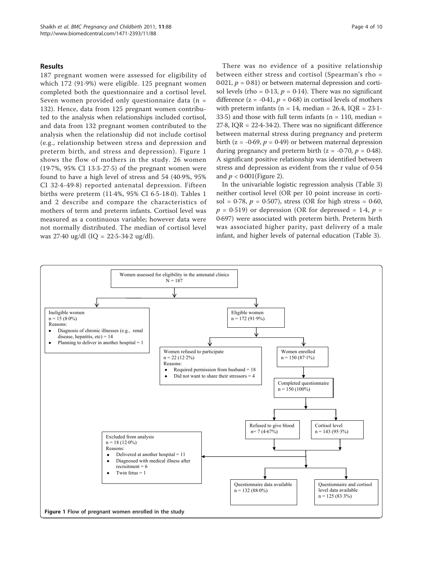#### Results

187 pregnant women were assessed for eligibility of which 172 (91·9%) were eligible. 125 pregnant women completed both the questionnaire and a cortisol level. Seven women provided only questionnaire data (n = 132). Hence, data from 125 pregnant women contributed to the analysis when relationships included cortisol, and data from 132 pregnant women contributed to the analysis when the relationship did not include cortisol (e.g., relationship between stress and depression and preterm birth, and stress and depression). Figure 1 shows the flow of mothers in the study. 26 women (19·7%, 95% CI 13·3-27·5) of the pregnant women were found to have a high level of stress and 54 (40·9%, 95% CI 32·4-49·8) reported antenatal depression. Fifteen births were preterm (11·4%, 95% CI 6·5-18·0). Tables [1](#page-6-0) and [2](#page-6-0) describe and compare the characteristics of mothers of term and preterm infants. Cortisol level was measured as a continuous variable; however data were not normally distributed. The median of cortisol level was 27·40 ug/dl (IQ = 22·5-34·2 ug/dl).

There was no evidence of a positive relationship between either stress and cortisol (Spearman's rho = 0.021,  $p = 0.81$ ) or between maternal depression and cortisol levels (rho =  $0.13$ ,  $p = 0.14$ ). There was no significant difference ( $z = -0.41$ ,  $p = 0.68$ ) in cortisol levels of mothers with preterm infants ( $n = 14$ , median = 26.4, IQR = 23.1-33.5) and those with full term infants ( $n = 110$ , median =  $27.8$ , IQR =  $22.4-34.2$ ). There was no significant difference between maternal stress during pregnancy and preterm birth ( $z = -0.69$ ,  $p = 0.49$ ) or between maternal depression during pregnancy and preterm birth ( $z = -0.70$ ,  $p = 0.48$ ). A significant positive relationship was identified between stress and depression as evident from the r value of 0·54 and  $p < 0.001$  (Figure [2](#page-7-0)).

In the univariable logistic regression analysis (Table [3](#page-8-0)) neither cortisol level (OR per 10 point increase in cortisol = 0.78,  $p = 0.507$ ), stress (OR for high stress = 0.60,  $p = 0.519$ ) or depression (OR for depressed = 1.4,  $p =$ 0·697) were associated with preterm birth. Preterm birth was associated higher parity, past delivery of a male infant, and higher levels of paternal education (Table [3](#page-8-0)).

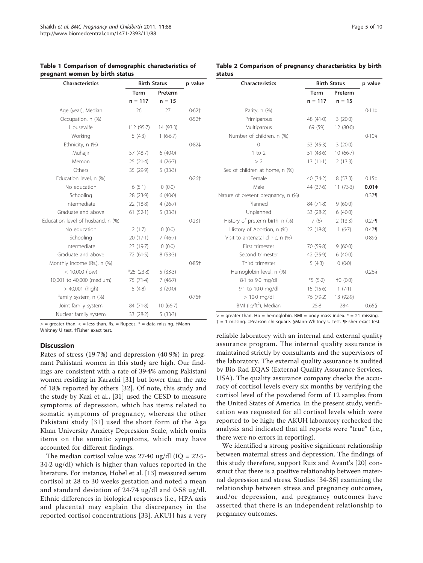| <b>Characteristics</b>            | <b>Birth Status</b> | p value    |                   |
|-----------------------------------|---------------------|------------|-------------------|
|                                   | <b>Term</b>         | Preterm    |                   |
|                                   | $n = 117$           | $n = 15$   |                   |
| Age (year), Median                | 26                  | 27         | $0.62 +$          |
| Occupation, n (%)                 |                     |            | 0.52 <sup>‡</sup> |
| Housewife                         | 112 (95.7)          | 14 (93.3)  |                   |
| Working                           | 5(4.3)              | 1(6.6.7)   |                   |
| Ethnicity, n (%)                  |                     |            | 0.82 <sup>‡</sup> |
| Muhajir                           | 57 (48.7)           | 6(40.0)    |                   |
| Memon                             | $25(21-4)$          | 4(26.7)    |                   |
| Others                            | 35 (29.9)           | 5(33.3)    |                   |
| Education level, n (%)            |                     |            | $0.26 +$          |
| No education                      | 6(5.1)              | 0(0.0)     |                   |
| Schooling                         | 28 (23.9)           | 6(40.0)    |                   |
| Intermediate                      | 22(18.8)            | 4(26.7)    |                   |
| Graduate and above                | 61(52.1)            | 5(33.3)    |                   |
| Education level of husband, n (%) |                     |            | $0.23 +$          |
| No education                      | 2(1.7)              | 0(0.0)     |                   |
| Schooling                         | 20(17.1)            | 7(46.7)    |                   |
| Intermediate                      | 23 (19.7)           | 0(0.0)     |                   |
| Graduate and above                | 72(61.5)            | 8(53.3)    |                   |
| Monthly income (Rs.), n (%)       |                     |            | $0.85 +$          |
| $< 10,000$ (low)                  | $*25(23.8)$         | 5(33.3)    |                   |
| 10,001 to 40,000 (medium)         | 75 (71-4)           | 7(46.7)    |                   |
| $> 40,001$ (high)                 | 5(4.8)              | 3(20.0)    |                   |
| Family system, n (%)              |                     |            | 0.76 <sup>‡</sup> |
| Joint family system               | 84 (71.8)           | $10(66-7)$ |                   |
| Nuclear family system             | 33 (28-2)           | 5(33.3)    |                   |

<span id="page-6-0"></span>Table 1 Comparison of demographic characteristics of pregnant women by birth status

 $>$  = greater than.  $<$  = less than. Rs. = Rupees.  $*$  = data missing. †Mann-Whitney U test. ‡Fisher exact test.

#### **Discussion**

Rates of stress (19·7%) and depression (40·9%) in pregnant Pakistani women in this study are high. Our findings are consistent with a rate of 39·4% among Pakistani women residing in Karachi [\[31](#page-11-0)] but lower than the rate of 18% reported by others [[32\]](#page-11-0). Of note, this study and the study by Kazi et al., [[31\]](#page-11-0) used the CESD to measure symptoms of depression, which has items related to somatic symptoms of pregnancy, whereas the other Pakistani study [[31](#page-11-0)] used the short form of the Aga Khan University Anxiety Depression Scale, which omits items on the somatic symptoms, which may have accounted for different findings.

The median cortisol value was  $27.40 \text{ ug/dl}$  (IQ =  $22.5$ -34·2 ug/dl) which is higher than values reported in the literature. For instance, Hobel et al. [\[13](#page-11-0)] measured serum cortisol at 28 to 30 weeks gestation and noted a mean and standard deviation of 24·74 ug/dl and 0·58 ug/dl. Ethnic differences in biological responses (i.e., HPA axis and placenta) may explain the discrepancy in the reported cortisol concentrations [[33\]](#page-11-0). AKUH has a very

#### Table 2 Comparison of pregnancy characteristics by birth status

| <b>Characteristics</b>             | <b>Birth Status</b> | p value    |               |
|------------------------------------|---------------------|------------|---------------|
|                                    | <b>Term</b>         | Preterm    |               |
|                                    | $n = 117$           | $n = 15$   |               |
| Parity, n (%)                      |                     |            | $0.11 \pm$    |
| Primiparous                        | 48 (41.0)           | 3(20.0)    |               |
| Multiparous                        | 69 (59)             | 12(80.0)   |               |
| Number of children, n (%)          |                     |            | 0.105         |
| Ω                                  | 53 (45.3)           | 3(20.0)    |               |
| $1$ to $2$                         | 51 (43.6)           | $10(66-7)$ |               |
| > 2                                | $13(11-1)$          | 2(13.3)    |               |
| Sex of children at home, n (%)     |                     |            |               |
| Female                             | 40(34.2)            | 8(53.3)    | $0.15\dagger$ |
| Male                               | 44 (37.6)           | 11(73.3)   | $0.01 \pm$    |
| Nature of present pregnancy, n (%) |                     |            | 0.379         |
| Planned                            | 84 (71.8)           | 9(60.0)    |               |
| Unplanned                          | 33 (28-2)           | 6(40.0)    |               |
| History of preterm birth, n (%)    | 7(6)                | 2(13.3)    | 0.279         |
| History of Abortion, n (%)         | 22 (18-8)           | 1(6.7)     | 0.479         |
| Visit to antenatal clinic, n (%)   |                     |            | 0.895         |
| First trimester                    | 70 (59.8)           | 9(600)     |               |
| Second trimester                   | 42 (35.9)           | 6(40.0)    |               |
| Third trimester                    | 5(4.3)              | 0(0.0)     |               |
| Hemoglobin level, n (%)            |                     |            | 0.26§         |
| 8-1 to 9-0 mg/dl                   | $*5(5.2)$           | $+0(0.0)$  |               |
| 9-1 to 10-0 mg/dl                  | 15(15.6)            | 1(7.1)     |               |
| $> 10.0$ mg/dl                     | 76 (79-2)           | 13 (92.9)  |               |
| BMI (lb/ft <sup>2</sup> ), Median  | $25-8$              | 28.4       | 0.65§         |

 $>$  = greater than. Hb = hemoglobin. BMI = body mass index.  $*$  = 21 missing. † = 1 missing. ‡Pearson chi square. §Mann-Whitney U test. ¶Fisher exact test.

reliable laboratory with an internal and external quality assurance program. The internal quality assurance is maintained strictly by consultants and the supervisors of the laboratory. The external quality assurance is audited by Bio-Rad EQAS (External Quality Assurance Services, USA). The quality assurance company checks the accuracy of cortisol levels every six months by verifying the cortisol level of the powdered form of 12 samples from the United States of America. In the present study, verification was requested for all cortisol levels which were reported to be high; the AKUH laboratory rechecked the analysis and indicated that all reports were "true" (i.e., there were no errors in reporting).

We identified a strong positive significant relationship between maternal stress and depression. The findings of this study therefore, support Ruiz and Avant's [[20\]](#page-11-0) construct that there is a positive relationship between maternal depression and stress. Studies [[34-36](#page-11-0)] examining the relationship between stress and pregnancy outcomes, and/or depression, and pregnancy outcomes have asserted that there is an independent relationship to pregnancy outcomes.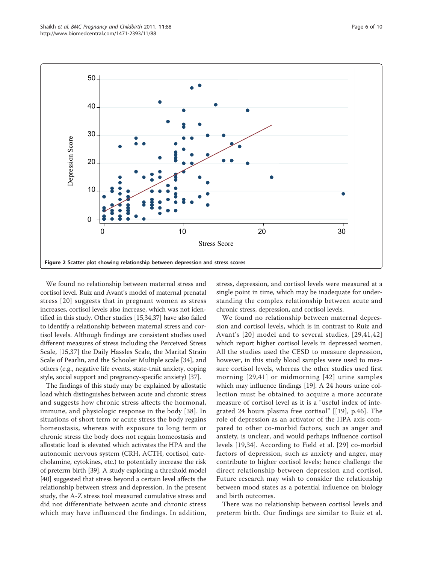<span id="page-7-0"></span>

We found no relationship between maternal stress and cortisol level. Ruiz and Avant's model of maternal prenatal stress [[20](#page-11-0)] suggests that in pregnant women as stress increases, cortisol levels also increase, which was not identified in this study. Other studies [\[15,34,37\]](#page-11-0) have also failed to identify a relationship between maternal stress and cortisol levels. Although findings are consistent studies used different measures of stress including the Perceived Stress Scale, [\[15](#page-11-0),[37\]](#page-11-0) the Daily Hassles Scale, the Marital Strain Scale of Pearlin, and the Schooler Multiple scale [[34\]](#page-11-0), and others (e.g., negative life events, state-trait anxiety, coping style, social support and pregnancy-specific anxiety) [\[37\]](#page-11-0).

The findings of this study may be explained by allostatic load which distinguishes between acute and chronic stress and suggests how chronic stress affects the hormonal, immune, and physiologic response in the body [[38\]](#page-11-0). In situations of short term or acute stress the body regains homeostasis, whereas with exposure to long term or chronic stress the body does not regain homeostasis and allostatic load is elevated which activates the HPA and the autonomic nervous system (CRH, ACTH, cortisol, catecholamine, cytokines, etc.) to potentially increase the risk of preterm birth [\[39\]](#page-11-0). A study exploring a threshold model [[40](#page-11-0)] suggested that stress beyond a certain level affects the relationship between stress and depression. In the present study, the A-Z stress tool measured cumulative stress and did not differentiate between acute and chronic stress which may have influenced the findings. In addition, stress, depression, and cortisol levels were measured at a single point in time, which may be inadequate for understanding the complex relationship between acute and chronic stress, depression, and cortisol levels.

We found no relationship between maternal depression and cortisol levels, which is in contrast to Ruiz and Avant's [\[20\]](#page-11-0) model and to several studies, [[29](#page-11-0),[41](#page-11-0),[42](#page-11-0)] which report higher cortisol levels in depressed women. All the studies used the CESD to measure depression, however, in this study blood samples were used to measure cortisol levels, whereas the other studies used first morning [[29](#page-11-0),[41](#page-11-0)] or midmorning [[42\]](#page-11-0) urine samples which may influence findings [\[19\]](#page-11-0). A 24 hours urine collection must be obtained to acquire a more accurate measure of cortisol level as it is a "useful index of integrated 24 hours plasma free cortisol" [[\[19\]](#page-11-0), p.46]. The role of depression as an activator of the HPA axis compared to other co-morbid factors, such as anger and anxiety, is unclear, and would perhaps influence cortisol levels [[19,34](#page-11-0)]. According to Field et al. [[29\]](#page-11-0) co-morbid factors of depression, such as anxiety and anger, may contribute to higher cortisol levels; hence challenge the direct relationship between depression and cortisol. Future research may wish to consider the relationship between mood states as a potential influence on biology and birth outcomes.

There was no relationship between cortisol levels and preterm birth. Our findings are similar to Ruiz et al.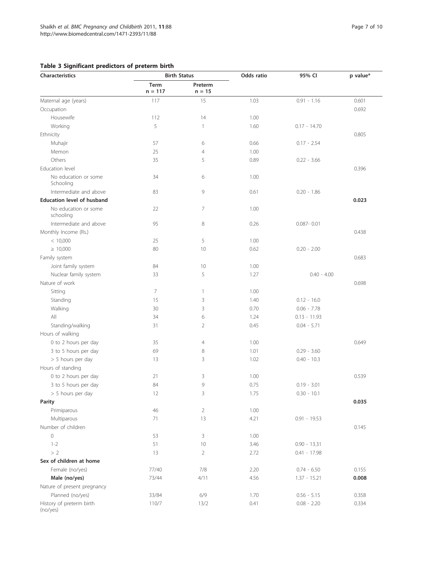<span id="page-8-0"></span>

|  |  | Table 3 Significant predictors of preterm birth |  |  |  |  |
|--|--|-------------------------------------------------|--|--|--|--|
|--|--|-------------------------------------------------|--|--|--|--|

| <b>Characteristics</b>               | <b>Birth Status</b>      |                     | Odds ratio | 95% CI         | p value* |
|--------------------------------------|--------------------------|---------------------|------------|----------------|----------|
|                                      | <b>Term</b><br>$n = 117$ | Preterm<br>$n = 15$ |            |                |          |
| Maternal age (years)                 | 117                      | 15                  | 1.03       | $0.91 - 1.16$  | 0.601    |
| Occupation                           |                          |                     |            |                | 0.692    |
| Housewife                            | 112                      | 14                  | 1.00       |                |          |
| Working                              | 5                        | 1                   | 1.60       | $0.17 - 14.70$ |          |
| Ethnicity                            |                          |                     |            |                | 0.805    |
| Muhajir                              | 57                       | 6                   | 0.66       | $0.17 - 2.54$  |          |
| Memon                                | 25                       | $\overline{4}$      | 1.00       |                |          |
| Others                               | 35                       | 5                   | 0.89       | $0.22 - 3.66$  |          |
| Education level                      |                          |                     |            |                | 0.396    |
| No education or some<br>Schooling    | 34                       | 6                   | 1.00       |                |          |
| Intermediate and above               | 83                       | 9                   | 0.61       | $0.20 - 1.86$  |          |
| <b>Education level of husband</b>    |                          |                     |            |                | 0.023    |
| No education or some<br>schooling    | 22                       | 7                   | 1.00       |                |          |
| Intermediate and above               | 95                       | 8                   | 0.26       | $0.087 - 0.01$ |          |
| Monthly Income (Rs.)                 |                          |                     |            |                | 0.438    |
| < 10,000                             | 25                       | 5                   | 1.00       |                |          |
| $\geq 10,000$                        | 80                       | 10                  | 0.62       | $0.20 - 2.00$  |          |
| Family system                        |                          |                     |            |                | 0.683    |
| Joint family system                  | 84                       | 10                  | 1.00       |                |          |
| Nuclear family system                | 33                       | 5                   | 1.27       | $0.40 - 4.00$  |          |
| Nature of work                       |                          |                     |            |                | 0.698    |
| Sitting                              | $\overline{7}$           | 1                   | 1.00       |                |          |
| Standing                             | 15                       | 3                   | 1.40       | $0.12 - 16.0$  |          |
| Walking                              | 30                       | 3                   | 0.70       | $0.06 - 7.78$  |          |
| All                                  | 34                       | 6                   | 1.24       | $0.13 - 11.93$ |          |
| Standing/walking                     | 31                       | $\overline{2}$      | 0.45       | $0.04 - 5.71$  |          |
| Hours of walking                     |                          |                     |            |                |          |
| 0 to 2 hours per day                 | 35                       | $\overline{4}$      | 1.00       |                | 0.649    |
| 3 to 5 hours per day                 | 69                       | 8                   | 1.01       | $0.29 - 3.60$  |          |
| > 5 hours per day                    | 13                       | 3                   | 1.02       | $0.40 - 10.3$  |          |
| Hours of standing                    |                          |                     |            |                |          |
| 0 to 2 hours per day                 | 21                       | 3                   | 1.00       |                | 0.539    |
| 3 to 5 hours per day                 | 84                       | 9                   | 0.75       | $0.19 - 3.01$  |          |
| > 5 hours per day                    | 12                       | 3                   | 1.75       | $0.30 - 10.1$  |          |
| <b>Parity</b>                        |                          |                     |            |                | 0.035    |
| Primiparous                          | 46                       | $\overline{2}$      | 1.00       |                |          |
| Multiparous                          | 71                       | 13                  | 4.21       | $0.91 - 19.53$ |          |
| Number of children                   |                          |                     |            |                | 0.145    |
| 0                                    | 53                       | 3                   | 1.00       |                |          |
| $1 - 2$                              | 51                       | $10$                | 3.46       | $0.90 - 13.31$ |          |
| $>2\,$                               | 13                       | $\overline{2}$      | 2.72       | $0.41 - 17.98$ |          |
| Sex of children at home              |                          |                     |            |                |          |
| Female (no/yes)                      | 77/40                    | 7/8                 | 2.20       | $0.74 - 6.50$  | 0.155    |
| Male (no/yes)                        | 73/44                    | 4/11                | 4.56       | $1.37 - 15.21$ | 0.008    |
| Nature of present pregnancy          |                          |                     |            |                |          |
| Planned (no/yes)                     | 33/84                    | 6/9                 | 1.70       | $0.56 - 5.15$  | 0.358    |
| History of preterm birth<br>(no/yes) | 110/7                    | 13/2                | 0.41       | $0.08 - 2.20$  | 0.334    |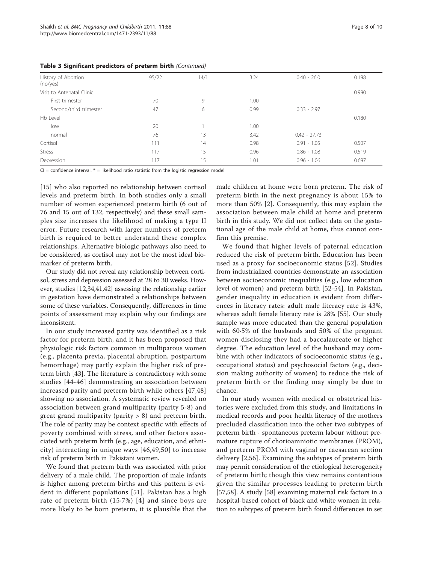| History of Abortion<br>(no/yes) | 95/22 | 14/1 | 3.24 | $0.40 - 26.0$  | 0.198 |
|---------------------------------|-------|------|------|----------------|-------|
| Visit to Antenatal Clinic       |       |      |      |                | 0.990 |
| First trimester                 | 70    | 9    | 1.00 |                |       |
| Second/third trimester          | 47    | 6    | 0.99 | $0.33 - 2.97$  |       |
| Hb Level                        |       |      |      |                | 0.180 |
| low                             | 20    |      | 1.00 |                |       |
| normal                          | 76    | 13   | 3.42 | $0.42 - 27.73$ |       |
| Cortisol                        | 111   | 14   | 0.98 | $0.91 - 1.05$  | 0.507 |
| Stress                          | 117   | 15   | 0.96 | $0.86 - 1.08$  | 0.519 |
| Depression                      | 117   | 15   | 1.01 | $0.96 - 1.06$  | 0.697 |

Table 3 Significant predictors of preterm birth (Continued)

 $CI =$  confidence interval.  $* =$  likelihood ratio statistic from the logistic regression model

[[15\]](#page-11-0) who also reported no relationship between cortisol levels and preterm birth. In both studies only a small number of women experienced preterm birth (6 out of 76 and 15 out of 132, respectively) and these small samples size increases the likelihood of making a type II error. Future research with larger numbers of preterm birth is required to better understand these complex relationships. Alternative biologic pathways also need to be considered, as cortisol may not be the most ideal biomarker of preterm birth.

Our study did not reveal any relationship between cortisol, stress and depression assessed at 28 to 30 weeks. However, studies [\[12](#page-10-0)[,34,41,42](#page-11-0)] assessing the relationship earlier in gestation have demonstrated a relationships between some of these variables. Consequently, differences in time points of assessment may explain why our findings are inconsistent.

In our study increased parity was identified as a risk factor for preterm birth, and it has been proposed that physiologic risk factors common in multiparous women (e.g., placenta previa, placental abruption, postpartum hemorrhage) may partly explain the higher risk of preterm birth [[43\]](#page-11-0). The literature is contradictory with some studies [\[44-46](#page-11-0)] demonstrating an association between increased parity and preterm birth while others [[47,48](#page-11-0)] showing no association. A systematic review revealed no association between grand multiparity (parity 5-8) and great grand multiparity (parity  $> 8$ ) and preterm birth. The role of parity may be context specific with effects of poverty combined with stress, and other factors associated with preterm birth (e.g., age, education, and ethnicity) interacting in unique ways [[46](#page-11-0),[49](#page-11-0),[50\]](#page-11-0) to increase risk of preterm birth in Pakistani women.

We found that preterm birth was associated with prior delivery of a male child. The proportion of male infants is higher among preterm births and this pattern is evident in different populations [[51\]](#page-11-0). Pakistan has a high rate of preterm birth (15·7%) [[4](#page-10-0)] and since boys are more likely to be born preterm, it is plausible that the

male children at home were born preterm. The risk of preterm birth in the next pregnancy is about 15% to more than 50% [[2\]](#page-10-0). Consequently, this may explain the association between male child at home and preterm birth in this study. We did not collect data on the gestational age of the male child at home, thus cannot confirm this premise.

We found that higher levels of paternal education reduced the risk of preterm birth. Education has been used as a proxy for socioeconomic status [[52\]](#page-11-0). Studies from industrialized countries demonstrate an association between socioeconomic inequalities (e.g., low education level of women) and preterm birth [\[52](#page-11-0)-[54\]](#page-11-0). In Pakistan, gender inequality in education is evident from differences in literacy rates: adult male literacy rate is 43%, whereas adult female literacy rate is 28% [[55](#page-11-0)]. Our study sample was more educated than the general population with 60·5% of the husbands and 50% of the pregnant women disclosing they had a baccalaureate or higher degree. The education level of the husband may combine with other indicators of socioeconomic status (e.g., occupational status) and psychosocial factors (e.g., decision making authority of women) to reduce the risk of preterm birth or the finding may simply be due to chance.

In our study women with medical or obstetrical histories were excluded from this study, and limitations in medical records and poor health literacy of the mothers precluded classification into the other two subtypes of preterm birth - spontaneous preterm labour without premature rupture of chorioamniotic membranes (PROM), and preterm PROM with vaginal or caesarean section delivery [\[2](#page-10-0),[56\]](#page-11-0). Examining the subtypes of preterm birth may permit consideration of the etiological heterogeneity of preterm birth; though this view remains contentious given the similar processes leading to preterm birth [[57,58\]](#page-11-0). A study [\[58](#page-11-0)] examining maternal risk factors in a hospital-based cohort of black and white women in relation to subtypes of preterm birth found differences in set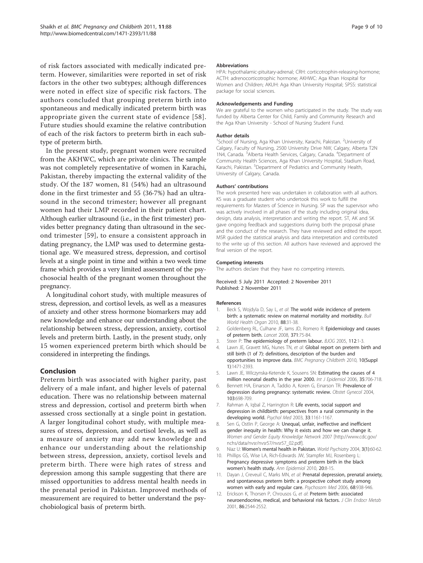<span id="page-10-0"></span>of risk factors associated with medically indicated preterm. However, similarities were reported in set of risk factors in the other two subtypes; although differences were noted in effect size of specific risk factors. The authors concluded that grouping preterm birth into spontaneous and medically indicated preterm birth was appropriate given the current state of evidence [[58\]](#page-11-0). Future studies should examine the relative contribution of each of the risk factors to preterm birth in each subtype of preterm birth.

In the present study, pregnant women were recruited from the AKHWC, which are private clinics. The sample was not completely representative of women in Karachi, Pakistan, thereby impacting the external validity of the study. Of the 187 women, 81 (54%) had an ultrasound done in the first trimester and 55 (36·7%) had an ultrasound in the second trimester; however all pregnant women had their LMP recorded in their patient chart. Although earlier ultrasound (i.e., in the first trimester) provides better pregnancy dating than ultrasound in the second trimester [[59](#page-11-0)], to ensure a consistent approach in dating pregnancy, the LMP was used to determine gestational age. We measured stress, depression, and cortisol levels at a single point in time and within a two week time frame which provides a very limited assessment of the psychosocial health of the pregnant women throughout the pregnancy.

A longitudinal cohort study, with multiple measures of stress, depression, and cortisol levels, as well as a measures of anxiety and other stress hormone biomarkers may add new knowledge and enhance our understanding about the relationship between stress, depression, anxiety, cortisol levels and preterm birth. Lastly, in the present study, only 15 women experienced preterm birth which should be considered in interpreting the findings.

#### Conclusion

Preterm birth was associated with higher parity, past delivery of a male infant, and higher levels of paternal education. There was no relationship between maternal stress and depression, cortisol and preterm birth when assessed cross sectionally at a single point in gestation. A larger longitudinal cohort study, with multiple measures of stress, depression, and cortisol levels, as well as a measure of anxiety may add new knowledge and enhance our understanding about the relationship between stress, depression, anxiety, cortisol levels and preterm birth. There were high rates of stress and depression among this sample suggesting that there are missed opportunities to address mental health needs in the prenatal period in Pakistan. Improved methods of measurement are required to better understand the psychobiological basis of preterm birth.

#### Abbreviations

HPA: hypothalamic-pituitary-adrenal; CRH: corticotrophin-releasing-hormone; ACTH: adrenocorticotrophic hormone; AKHWC: Aga Khan Hospital for Women and Children; AKUH: Aga Khan University Hospital; SPSS: statistical package for social sciences.

#### Acknowledgements and Funding

We are grateful to the women who participated in the study. The study was funded by Alberta Center for Child, Family and Community Research and the Aga Khan University - School of Nursing Student Fund.

#### Author details

<sup>1</sup>School of Nursing, Aga Khan University, Karachi, Pakistan. <sup>2</sup>University of Calgary, Faculty of Nursing, 2500 University Drive NW, Calgary, Alberta T2N 1N4, Canada. <sup>3</sup>Alberta Health Services, Calgary, Canada. <sup>4</sup>Department of Community Health Sciences, Aga Khan University Hospital, Stadium Road, Karachi, Pakistan. <sup>5</sup>Department of Pediatrics and Community Health University of Calgary, Canada.

#### Authors' contributions

The work presented here was undertaken in collaboration with all authors. KS was a graduate student who undertook this work to fulfill the requirements for Masters of Science in Nursing. SP was the supervisor who was actively involved in all phases of the study including original idea, design, data analysis, interpretation and writing the report. ST, AK and SK gave ongoing feedback and suggestions during both the proposal phase and the conduct of the research. They have reviewed and edited the report. MSR guided the statistical analysis and data interpretation and contributed to the write up of this section. All authors have reviewed and approved the final version of the report.

#### Competing interests

The authors declare that they have no competing interests.

#### Received: 5 July 2011 Accepted: 2 November 2011 Published: 2 November 2011

#### References

- 1. Beck S, Wojdyla D, Say L, et al: [The world wide incidence of preterm](http://www.ncbi.nlm.nih.gov/pubmed/20428351?dopt=Abstract) [birth: a systematic review on maternal mortality and morbidity.](http://www.ncbi.nlm.nih.gov/pubmed/20428351?dopt=Abstract) Bull World Health Organ 2010, 88:31-38.
- 2. Goldenberg RL, Culhane JF, Iams JD, Romero R: [Epidemiology and causes](http://www.ncbi.nlm.nih.gov/pubmed/18177778?dopt=Abstract) [of preterm birth.](http://www.ncbi.nlm.nih.gov/pubmed/18177778?dopt=Abstract) *Lancet* 2008, 371:75-84.
- 3. Steer P: [The epidemiology of preterm labour.](http://www.ncbi.nlm.nih.gov/pubmed/15898167?dopt=Abstract) BJOG 2005, 112:1-3.
- Lawn JE, Gravett MG, Nunes TN, et al: Global report on preterm birth and still birth (1 of 7): definitions, description of the burden and opportunities to improve data. BMC Pregnancy Childbirth 2010, 10(Suppl 1):1471-2393.
- 5. Lawn JE, Wilczynska-Ketende K, Sousens SN: [Estimating the causes of 4](http://www.ncbi.nlm.nih.gov/pubmed/16556647?dopt=Abstract) [million neonatal deaths in the year 2000.](http://www.ncbi.nlm.nih.gov/pubmed/16556647?dopt=Abstract) Int J Epidemiol 2006, 35:706-718.
- 6. Bennett HA, Einarson A, Taddio A, Koren G, Einarson TR: [Prevalence of](http://www.ncbi.nlm.nih.gov/pubmed/15051562?dopt=Abstract) [depression during pregnancy: systematic review.](http://www.ncbi.nlm.nih.gov/pubmed/15051562?dopt=Abstract) Obstet Gynecol 2004, 103:698-709.
- 7. Rahman A, Iqbal Z, Harrington R: [Life events, social support and](http://www.ncbi.nlm.nih.gov/pubmed/14580070?dopt=Abstract) [depression in childbirth: perspectives from a rural community in the](http://www.ncbi.nlm.nih.gov/pubmed/14580070?dopt=Abstract) [developing world.](http://www.ncbi.nlm.nih.gov/pubmed/14580070?dopt=Abstract) Psychol Med 2003, 33:1161-1167.
- Sen G, Ostlin P, George A: Unequal, unfair, ineffective and inefficient gender inequity in health: Why it exists and how we can change it. Women and Gender Equity Knowledge Network 2007 [[http://www.cdc.gov/](http://www.cdc.gov/nchs/data/nvsr/nvsr57/nvsr57_02.pdf) [nchs/data/nvsr/nvsr57/nvsr57\\_02.pdf](http://www.cdc.gov/nchs/data/nvsr/nvsr57/nvsr57_02.pdf)].
- 9. Niaz U: Women'[s mental health in Pakistan.](http://www.ncbi.nlm.nih.gov/pubmed/16633458?dopt=Abstract) World Psychiatry 2004, 3(1):60-62.
- 10. Phillips GS, Wise LA, Rich-Edwards JW, Stampfer MJ, Rosenberg L: [Pregnancy depressive symptoms and preterm birth in the black](http://www.ncbi.nlm.nih.gov/pubmed/20006271?dopt=Abstract) women'[s health study.](http://www.ncbi.nlm.nih.gov/pubmed/20006271?dopt=Abstract) Ann Epidemiol 2010, 20:8-15.
- 11. Dayan J, Creveuil C, Marks MN, et al: [Prenatal depression, prenatal anxiety,](http://www.ncbi.nlm.nih.gov/pubmed/17079701?dopt=Abstract) [and spontaneous preterm birth: a prospective cohort study among](http://www.ncbi.nlm.nih.gov/pubmed/17079701?dopt=Abstract) [women with early and regular care.](http://www.ncbi.nlm.nih.gov/pubmed/17079701?dopt=Abstract) Psychosom Med 2006, 68:938-946.
- 12. Erickson K, Thorsen P, Chrousos G, et al: [Preterm birth: associated](http://www.ncbi.nlm.nih.gov/pubmed/11397853?dopt=Abstract) [neuroendocrine, medical, and behavioral risk factors.](http://www.ncbi.nlm.nih.gov/pubmed/11397853?dopt=Abstract) J Clin Endocr Metab 2001, 86:2544-2552.